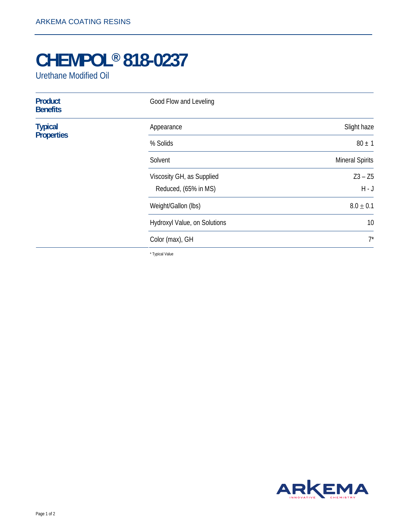## **CHEMPOL® 818-0237**

Urethane Modified Oil

| <b>Product</b><br><b>Benefits</b>   | Good Flow and Leveling       |                        |
|-------------------------------------|------------------------------|------------------------|
| <b>Typical</b><br><b>Properties</b> | Appearance                   | Slight haze            |
|                                     | % Solids                     | $80 \pm 1$             |
|                                     | Solvent                      | <b>Mineral Spirits</b> |
|                                     | Viscosity GH, as Supplied    | $Z3 - Z5$              |
|                                     | Reduced, (65% in MS)         | $H - J$                |
|                                     | Weight/Gallon (lbs)          | $8.0 \pm 0.1$          |
|                                     | Hydroxyl Value, on Solutions | 10                     |
|                                     | Color (max), GH              | $7^*$                  |

\* Typical Value